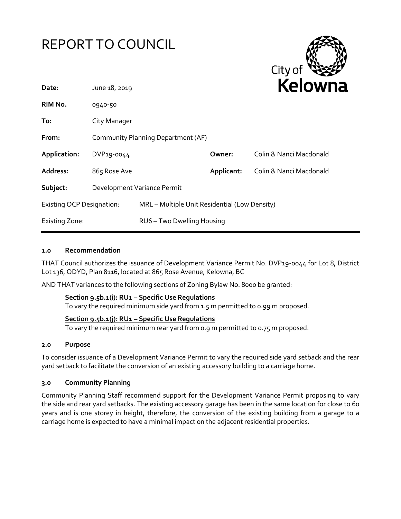



| Date:                            | June 18, 2019                      |                                               |            | <b>Relown</b>           |
|----------------------------------|------------------------------------|-----------------------------------------------|------------|-------------------------|
| RIM No.                          | 0940-50                            |                                               |            |                         |
| To:                              | City Manager                       |                                               |            |                         |
| From:                            | Community Planning Department (AF) |                                               |            |                         |
| Application:                     | DVP19-0044                         |                                               | Owner:     | Colin & Nanci Macdonald |
| Address:                         | 865 Rose Ave                       |                                               | Applicant: | Colin & Nanci Macdonald |
| Subject:                         | Development Variance Permit        |                                               |            |                         |
| <b>Existing OCP Designation:</b> |                                    | MRL - Multiple Unit Residential (Low Density) |            |                         |
| <b>Existing Zone:</b>            |                                    | RU6 - Two Dwelling Housing                    |            |                         |

#### **1.0 Recommendation**

THAT Council authorizes the issuance of Development Variance Permit No. DVP19-0044 for Lot 8, District Lot 136, ODYD, Plan 8116, located at 865 Rose Avenue, Kelowna, BC

AND THAT variances to the following sections of Zoning Bylaw No. 8000 be granted:

#### **Section 9.5b.1(i): RU1 – Specific Use Regulations**

To vary the required minimum side yard from 1.5 m permitted to 0.99 m proposed.

## **Section 9.5b.1(j): RU1 – Specific Use Regulations**

To vary the required minimum rear yard from 0.9 m permitted to 0.75 m proposed.

#### **2.0 Purpose**

To consider issuance of a Development Variance Permit to vary the required side yard setback and the rear yard setback to facilitate the conversion of an existing accessory building to a carriage home.

## **3.0 Community Planning**

Community Planning Staff recommend support for the Development Variance Permit proposing to vary the side and rear yard setbacks. The existing accessory garage has been in the same location for close to 60 years and is one storey in height, therefore, the conversion of the existing building from a garage to a carriage home is expected to have a minimal impact on the adjacent residential properties.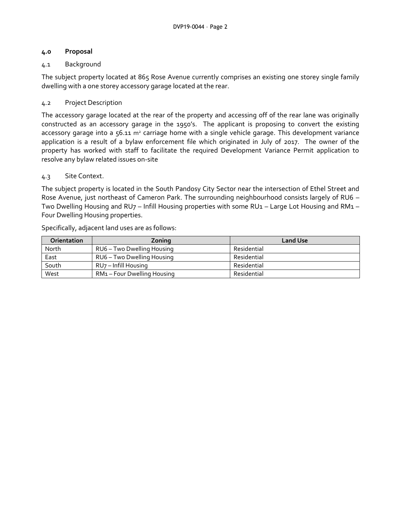## **4.0 Proposal**

# 4.1 Background

The subject property located at 865 Rose Avenue currently comprises an existing one storey single family dwelling with a one storey accessory garage located at the rear.

## 4.2 Project Description

The accessory garage located at the rear of the property and accessing off of the rear lane was originally constructed as an accessory garage in the 1950's. The applicant is proposing to convert the existing accessory garage into a  $56.11$  m<sup>2</sup> carriage home with a single vehicle garage. This development variance application is a result of a bylaw enforcement file which originated in July of 2017. The owner of the property has worked with staff to facilitate the required Development Variance Permit application to resolve any bylaw related issues on-site

## 4.3 Site Context.

The subject property is located in the South Pandosy City Sector near the intersection of Ethel Street and Rose Avenue, just northeast of Cameron Park. The surrounding neighbourhood consists largely of RU6 – Two Dwelling Housing and RU7 – Infill Housing properties with some RU1 – Large Lot Housing and RM1 – Four Dwelling Housing properties.

| <b>Orientation</b> | Zoning                      | <b>Land Use</b> |
|--------------------|-----------------------------|-----------------|
| North              | RU6 – Two Dwelling Housing  | Residential     |
| East               | RU6 – Two Dwelling Housing  | Residential     |
| South              | RU7 – Infill Housing        | Residential     |
| West               | RM1 – Four Dwelling Housing | Residential     |

Specifically, adjacent land uses are as follows: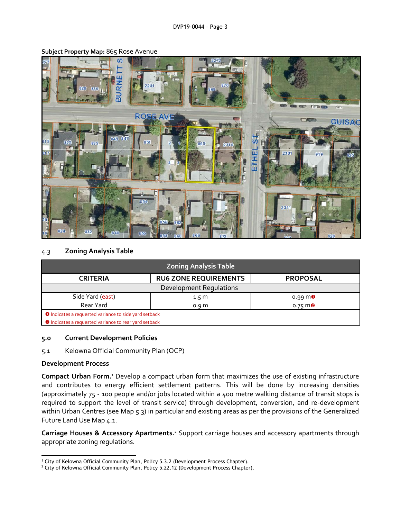

**Subject Property Map:** 865 Rose Avenue

## 4.3 **Zoning Analysis Table**

| <b>Zoning Analysis Table</b>                                 |                              |                                 |  |  |  |
|--------------------------------------------------------------|------------------------------|---------------------------------|--|--|--|
| <b>CRITERIA</b>                                              | <b>RU6 ZONE REQUIREMENTS</b> | <b>PROPOSAL</b>                 |  |  |  |
| Development Regulations                                      |                              |                                 |  |  |  |
| Side Yard (east)                                             | 1.5 m                        | $0.99 \, \text{m}$              |  |  |  |
| Rear Yard                                                    | 0.9 <sub>m</sub>             | $0.75 \, \text{m}$ <sup>2</sup> |  |  |  |
| <b>O</b> Indicates a requested variance to side yard setback |                              |                                 |  |  |  |
| <b>O</b> Indicates a requested variance to rear yard setback |                              |                                 |  |  |  |

#### **5.0 Current Development Policies**

5.1 Kelowna Official Community Plan (OCP)

## **Development Process**

**Compact Urban Form.**<sup>1</sup> Develop a compact urban form that maximizes the use of existing infrastructure and contributes to energy efficient settlement patterns. This will be done by increasing densities (approximately 75 - 100 people and/or jobs located within a 400 metre walking distance of transit stops is required to support the level of transit service) through development, conversion, and re-development within Urban Centres (see Map 5.3) in particular and existing areas as per the provisions of the Generalized Future Land Use Map 4.1.

**Carriage Houses & Accessory Apartments.**<sup>2</sup> Support carriage houses and accessory apartments through appropriate zoning regulations.

**<sup>.</sup>** <sup>1</sup> City of Kelowna Official Community Plan, Policy 5.3.2 (Development Process Chapter).

<sup>&</sup>lt;sup>2</sup> City of Kelowna Official Community Plan, Policy 5.22.12 (Development Process Chapter).